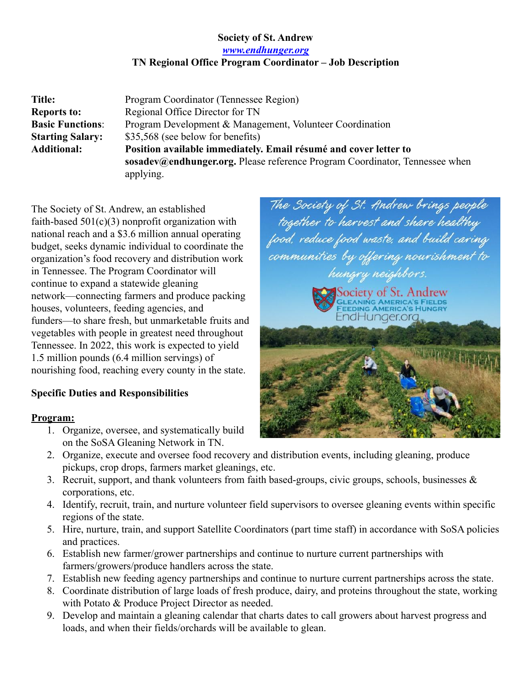## **Society of St. Andrew**

*[www.endhunger.org](http://www.endhunger.org)*

## **TN Regional Office Program Coordinator – Job Description**

| Title:                  | Program Coordinator (Tennessee Region)                                      |
|-------------------------|-----------------------------------------------------------------------------|
| <b>Reports to:</b>      | Regional Office Director for TN                                             |
| <b>Basic Functions:</b> | Program Development & Management, Volunteer Coordination                    |
| <b>Starting Salary:</b> | \$35,568 (see below for benefits)                                           |
| <b>Additional:</b>      | Position available immediately. Email résumé and cover letter to            |
|                         | sosadev@endhunger.org. Please reference Program Coordinator, Tennessee when |
|                         | applying.                                                                   |

The Society of St. Andrew, an established faith-based  $501(c)(3)$  nonprofit organization with national reach and a \$3.6 million annual operating budget, seeks dynamic individual to coordinate the organization's food recovery and distribution work in Tennessee. The Program Coordinator will continue to expand a statewide gleaning network—connecting farmers and produce packing houses, volunteers, feeding agencies, and funders—to share fresh, but unmarketable fruits and vegetables with people in greatest need throughout Tennessee. In 2022, this work is expected to yield 1.5 million pounds (6.4 million servings) of nourishing food, reaching every county in the state.

### **Specific Duties and Responsibilities**

#### **Program:**

- 1. Organize, oversee, and systematically build on the SoSA Gleaning Network in TN.
- The Society of St. Andrew brings people<br>together to harvest and share healthy<br>food, reduce food waste, and build caring communities by offering nourishment to hungry neighbors. Society of St. Andrew GLEANIŃG AMERICA'S FIELDS<br>FEEDING AMERICA'S HUNGRY EndHunger.org
- 2. Organize, execute and oversee food recovery and distribution events, including gleaning, produce pickups, crop drops, farmers market gleanings, etc.
- 3. Recruit, support, and thank volunteers from faith based-groups, civic groups, schools, businesses & corporations, etc.
- 4. Identify, recruit, train, and nurture volunteer field supervisors to oversee gleaning events within specific regions of the state.
- 5. Hire, nurture, train, and support Satellite Coordinators (part time staff) in accordance with SoSA policies and practices.
- 6. Establish new farmer/grower partnerships and continue to nurture current partnerships with farmers/growers/produce handlers across the state.
- 7. Establish new feeding agency partnerships and continue to nurture current partnerships across the state.
- 8. Coordinate distribution of large loads of fresh produce, dairy, and proteins throughout the state, working with Potato & Produce Project Director as needed.
- 9. Develop and maintain a gleaning calendar that charts dates to call growers about harvest progress and loads, and when their fields/orchards will be available to glean.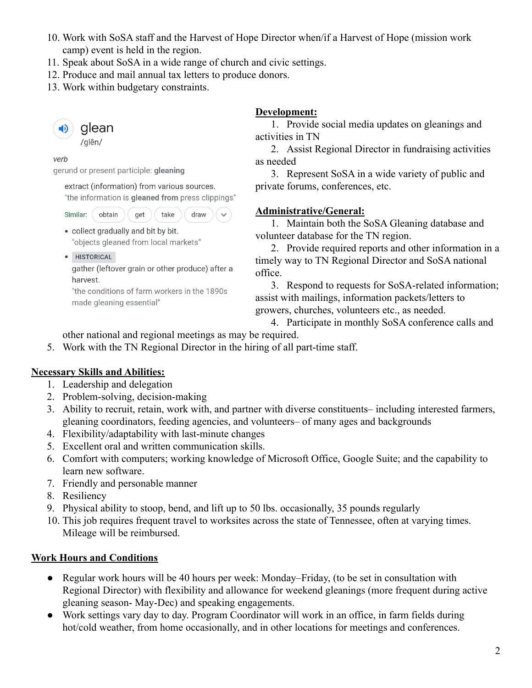- 10. Work with SoSA staff and the Harvest of Hope Director when/if a Harvest of Hope (mission work camp) event is held in the region.
- 11. Speak about SoSA in a wide range of church and civic settings.
- 12. Produce and mail annual tax letters to produce donors.
- 13. Work within budgetary constraints.



verb

gerund or present participle: gleaning

extract (information) from various sources. "the information is gleaned from press clippings"

Similar: obtain get take draw

- collect gradually and bit by bit. "objects gleaned from local markets"
- · HISTORICAL

gather (leftover grain or other produce) after a harvest.

"the conditions of farm workers in the 1890s made gleaning essential"

#### **Development:**

1. Provide social media updates on gleanings and activities in TN

2. Assist Regional Director in fundraising activities as needed

3. Represent SoSA in a wide variety of public and private forums, conferences, etc.

# **Administrative/General:**

1. Maintain both the SoSA Gleaning database and volunteer database for the TN region.

2. Provide required reports and other information in a timely way to TN Regional Director and SoSA national office.

3. Respond to requests for SoSA-related information; assist with mailings, information packets/letters to growers, churches, volunteers etc., as needed.

- 4. Participate in monthly SoSA conference calls and other national and regional meetings as may be required.
- 5. Work with the TN Regional Director in the hiring of all part-time staff.

# **Necessary Skills and Abilities:**

- 1. Leadership and delegation
- 2. Problem-solving, decision-making
- 3. Ability to recruit, retain, work with, and partner with diverse constituents– including interested farmers, gleaning coordinators, feeding agencies, and volunteers– of many ages and backgrounds
- 4. Flexibility/adaptability with last-minute changes
- 5. Excellent oral and written communication skills.
- 6. Comfort with computers; working knowledge of Microsoft Office, Google Suite; and the capability to learn new software.
- 7. Friendly and personable manner
- 8. Resiliency
- 9. Physical ability to stoop, bend, and lift up to 50 lbs. occasionally, 35 pounds regularly
- 10. This job requires frequent travel to worksites across the state of Tennessee, often at varying times. Mileage will be reimbursed.

# **Work Hours and Conditions**

- Regular work hours will be 40 hours per week: Monday–Friday, (to be set in consultation with Regional Director) with flexibility and allowance for weekend gleanings (more frequent during active gleaning season- May-Dec) and speaking engagements.
- Work settings vary day to day. Program Coordinator will work in an office, in farm fields during hot/cold weather, from home occasionally, and in other locations for meetings and conferences.